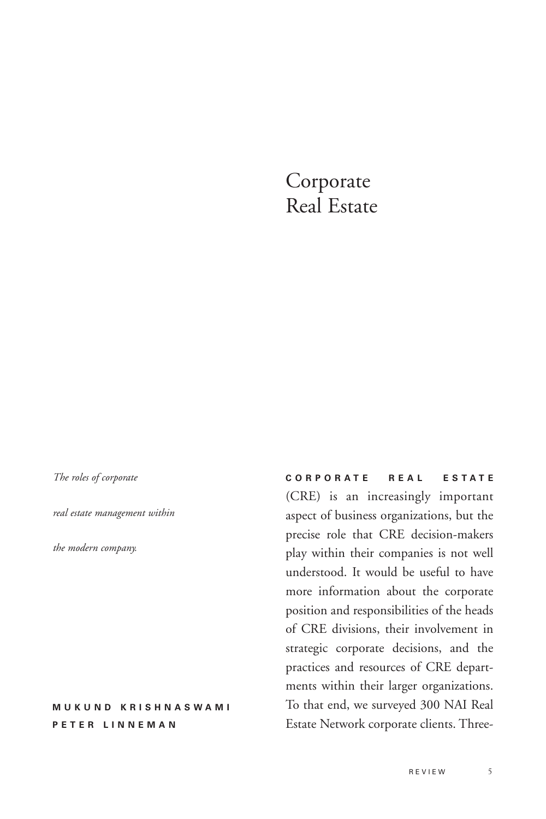# Corporate Real Estate

*The roles of corporate* 

*real estate management within*

*the modern company.*

# **MUKUND KRISHNASWAMI PETER LINNEMAN**

**CORPORATE REAL ESTATE** (CRE) is an increasingly important aspect of business organizations, but the precise role that CRE decision-makers play within their companies is not well understood. It would be useful to have more information about the corporate position and responsibilities of the heads of CRE divisions, their involvement in strategic corporate decisions, and the practices and resources of CRE departments within their larger organizations. To that end, we surveyed 300 NAI Real Estate Network corporate clients. Three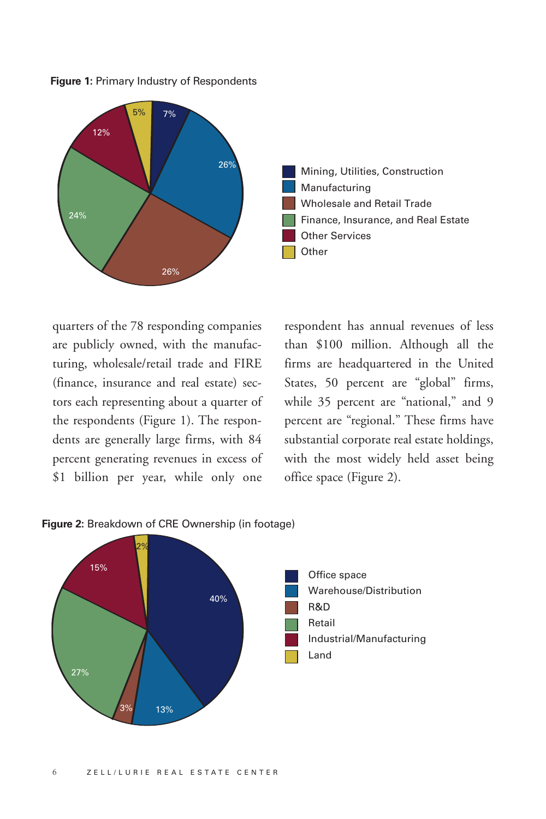**Figure 1:** Primary Industry of Respondents



quarters of the 78 responding companies are publicly owned, with the manufacturing, wholesale/retail trade and FIRE (finance, insurance and real estate) sectors each representing about a quarter of the respondents (Figure 1). The respondents are generally large firms, with 84 percent generating revenues in excess of \$1 billion per year, while only one

respondent has annual revenues of less than \$100 million. Although all the firms are headquartered in the United States, 50 percent are "global" firms, while 35 percent are "national," and 9 percent are "regional." These firms have substantial corporate real estate holdings, with the most widely held asset being office space (Figure 2).



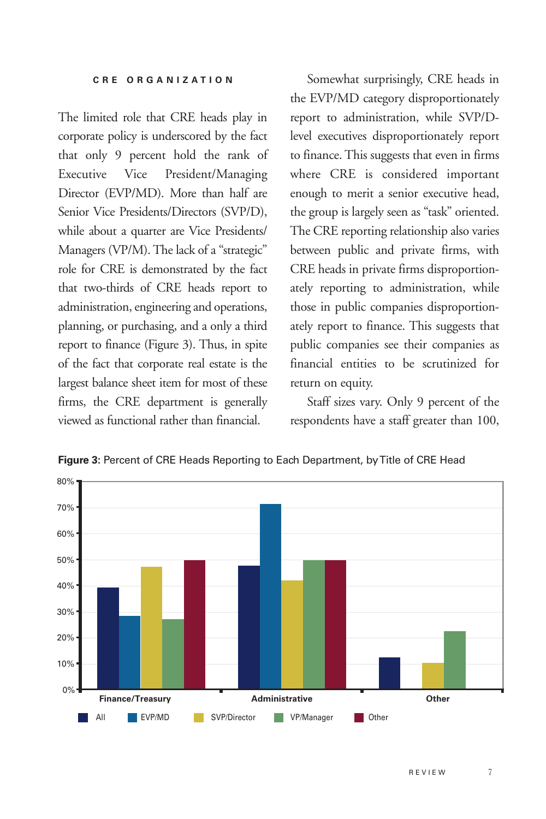The limited role that CRE heads play in corporate policy is underscored by the fact that only 9 percent hold the rank of Executive Vice President/Managing Director (EVP/MD). More than half are Senior Vice Presidents/Directors (SVP/D), while about a quarter are Vice Presidents/ Managers (VP/M). The lack of a "strategic" role for CRE is demonstrated by the fact that two-thirds of CRE heads report to administration, engineering and operations, planning, or purchasing, and a only a third report to finance (Figure 3). Thus, in spite of the fact that corporate real estate is the largest balance sheet item for most of these firms, the CRE department is generally viewed as functional rather than financial.

Somewhat surprisingly, CRE heads in the EVP/MD category disproportionately report to administration, while SVP/Dlevel executives disproportionately report to finance. This suggests that even in firms where CRE is considered important enough to merit a senior executive head, the group is largely seen as "task" oriented. The CRE reporting relationship also varies between public and private firms, with CRE heads in private firms disproportionately reporting to administration, while those in public companies disproportionately report to finance. This suggests that public companies see their companies as financial entities to be scrutinized for return on equity.

Staff sizes vary. Only 9 percent of the respondents have a staff greater than 100,



**Figure 3:** Percent of CRE Heads Reporting to Each Department, by Title of CRE Head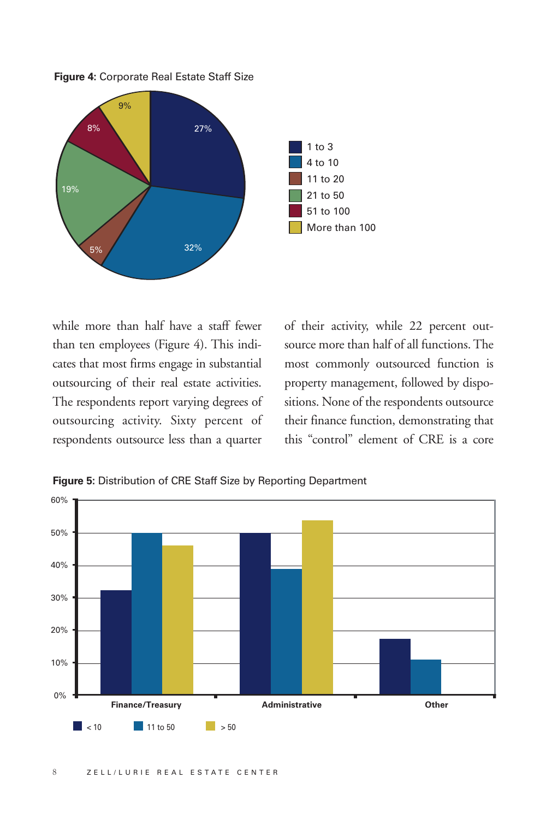**Figure 4:** Corporate Real Estate Staff Size



while more than half have a staff fewer than ten employees (Figure 4). This indicates that most firms engage in substantial outsourcing of their real estate activities. The respondents report varying degrees of outsourcing activity. Sixty percent of respondents outsource less than a quarter

of their activity, while 22 percent outsource more than half of all functions. The most commonly outsourced function is property management, followed by dispositions. None of the respondents outsource their finance function, demonstrating that this "control" element of CRE is a core



**Figure 5:** Distribution of CRE Staff Size by Reporting Department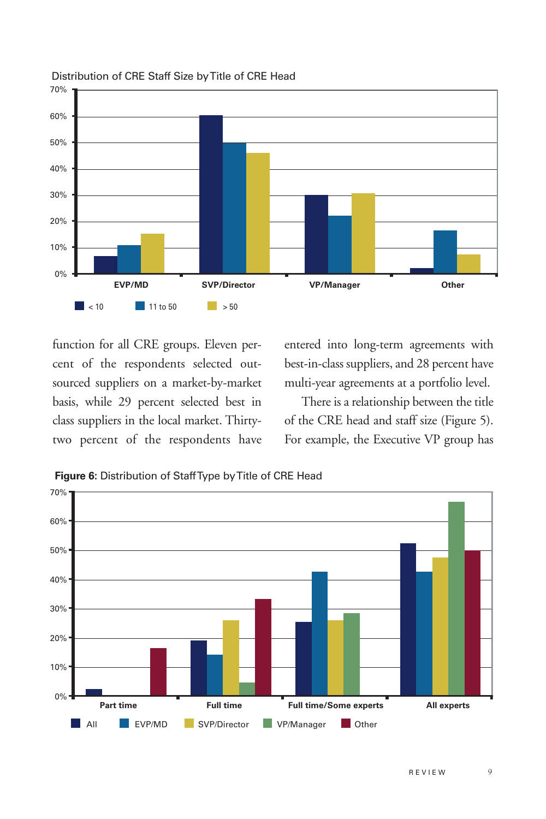

## Distribution of CRE Staff Size by Title of CRE Head

function for all CRE groups. Eleven percent of the respondents selected outsourced suppliers on a market-by-market basis, while 29 percent selected best in class suppliers in the local market. Thirtytwo percent of the respondents have entered into long-term agreements with best-in-class suppliers, and 28 percent have multi-year agreements at a portfolio level.

There is a relationship between the title of the CRE head and staff size (Figure 5). For example, the Executive VP group has



**Figure 6:** Distribution of Staff Type by Title of CRE Head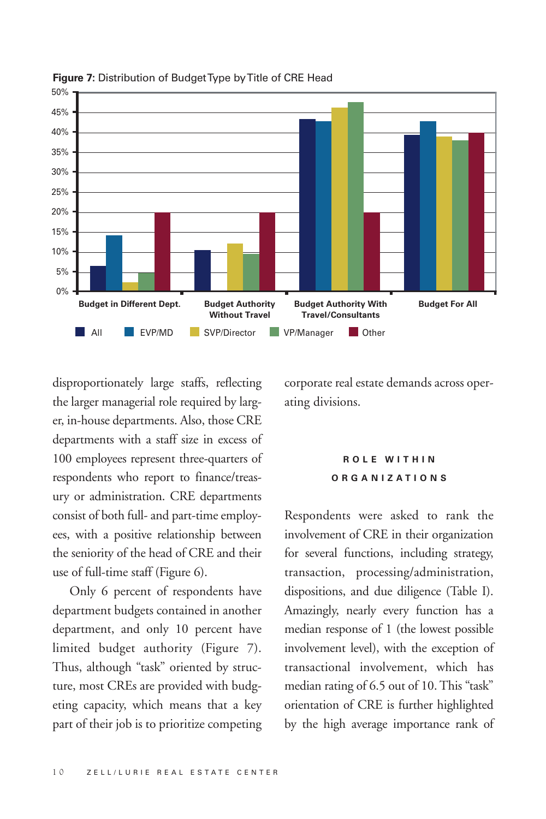

**Figure 7:** Distribution of Budget Type by Title of CRE Head

disproportionately large staffs, reflecting the larger managerial role required by larger, in-house departments. Also, those CRE departments with a staff size in excess of 100 employees represent three-quarters of respondents who report to finance/treasury or administration. CRE departments consist of both full- and part-time employees, with a positive relationship between the seniority of the head of CRE and their use of full-time staff (Figure 6).

Only 6 percent of respondents have department budgets contained in another department, and only 10 percent have limited budget authority (Figure 7). Thus, although "task" oriented by structure, most CREs are provided with budgeting capacity, which means that a key part of their job is to prioritize competing corporate real estate demands across operating divisions.

# **ROLE WITHIN ORGANIZATIONS**

Respondents were asked to rank the involvement of CRE in their organization for several functions, including strategy, transaction, processing/administration, dispositions, and due diligence (Table I). Amazingly, nearly every function has a median response of 1 (the lowest possible involvement level), with the exception of transactional involvement, which has median rating of 6.5 out of 10. This "task" orientation of CRE is further highlighted by the high average importance rank of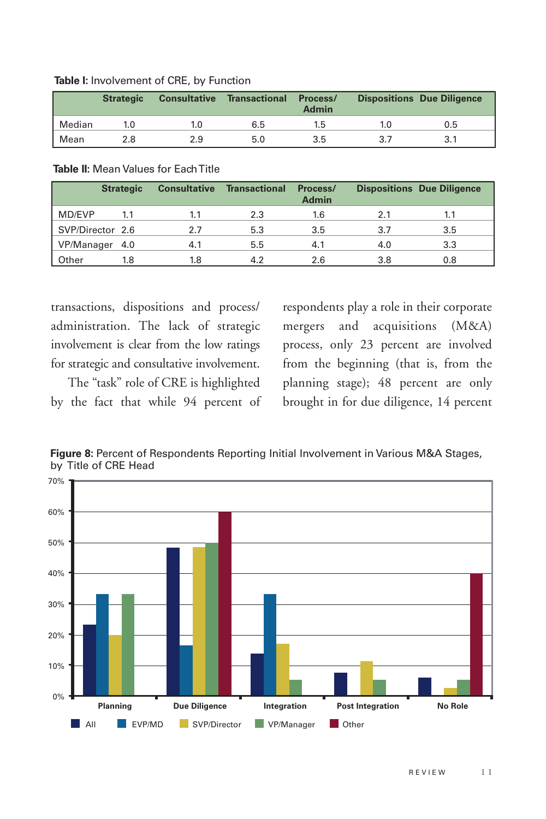|  |  | Table I: Involvement of CRE, by Function |  |  |  |
|--|--|------------------------------------------|--|--|--|
|--|--|------------------------------------------|--|--|--|

|        | <b>Strategic</b> | <b>Consultative</b> | Transactional | Process/<br><b>Admin</b> | <b>Dispositions Due Diligence</b> |
|--------|------------------|---------------------|---------------|--------------------------|-----------------------------------|
| Median | 1.0              | 1.0                 | 6.5           | 1.b                      | 0.5                               |
| Mean   | 2.8              | 2.9                 | 5.0           | 3.5                      |                                   |

### **Table II:** Mean Values for Each Title

|                  | <b>Strategic</b> | <b>Consultative</b> | <b>Transactional</b> | Process/<br><b>Admin</b> |     | <b>Dispositions Due Diligence</b> |
|------------------|------------------|---------------------|----------------------|--------------------------|-----|-----------------------------------|
| MD/EVP           | 1.1              | 1.1                 | 2.3                  | 1.6                      | 2.1 | 1.1                               |
| SVP/Director 2.6 |                  | 2.7                 | 5.3                  | 3.5                      | 3.7 | 3.5                               |
| VP/Manager 4.0   |                  | 4.1                 | 5.5                  | 4.1                      | 4.0 | 3.3                               |
| Other            | 1.8              | 1.8                 | 4.2                  | 2.6                      | 3.8 | 0.8                               |

transactions, dispositions and process/ administration. The lack of strategic involvement is clear from the low ratings for strategic and consultative involvement.

The "task" role of CRE is highlighted by the fact that while 94 percent of respondents play a role in their corporate mergers and acquisitions (M&A) process, only 23 percent are involved from the beginning (that is, from the planning stage); 48 percent are only brought in for due diligence, 14 percent



**Figure 8:** Percent of Respondents Reporting Initial Involvement in Various M&A Stages, by Title of CRE Head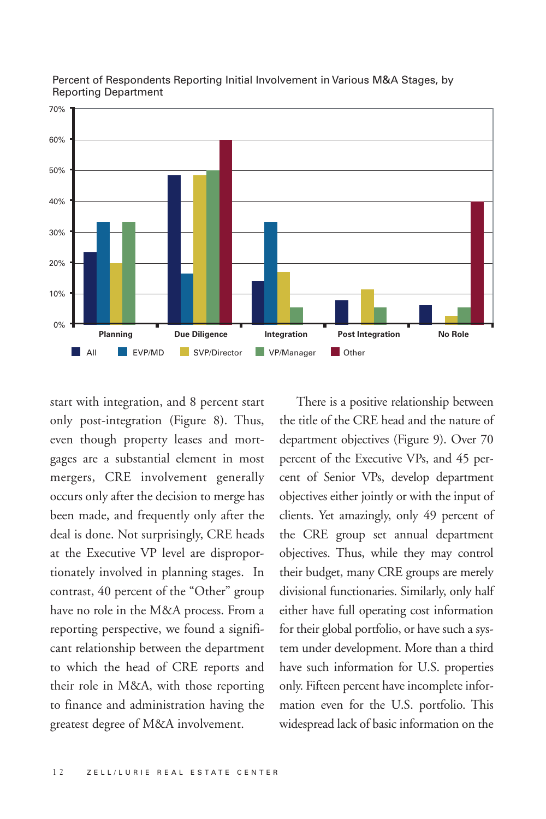

#### Percent of Respondents Reporting Initial Involvement in Various M&A Stages, by Reporting Department

start with integration, and 8 percent start only post-integration (Figure 8). Thus, even though property leases and mortgages are a substantial element in most mergers, CRE involvement generally occurs only after the decision to merge has been made, and frequently only after the deal is done. Not surprisingly, CRE heads at the Executive VP level are disproportionately involved in planning stages. In contrast, 40 percent of the "Other" group have no role in the M&A process. From a reporting perspective, we found a significant relationship between the department to which the head of CRE reports and their role in M&A, with those reporting to finance and administration having the greatest degree of M&A involvement. All FIFMP SUP/Director FUP/Manager<br>
ith integration, and 8 percent start<br>
The<br>
ost-integration (Figure 8). Thus, the title<br>
nough property leases and mort-<br>
departr<br>
re a substantial element in most percent<br>
s, CRE involve

There is a positive relationship between the title of the CRE head and the nature of department objectives (Figure 9). Over 70 percent of the Executive VPs, and 45 percent of Senior VPs, develop department objectives either jointly or with the input of clients. Yet amazingly, only 49 percent of the CRE group set annual department objectives. Thus, while they may control their budget, many CRE groups are merely divisional functionaries. Similarly, only half either have full operating cost information for their global portfolio, or have such a system under development. More than a third have such information for U.S. properties only. Fifteen percent have incomplete information even for the U.S. portfolio. This widespread lack of basic information on the **Planning Due Diligence**<br> **Planning Post Integration** Post Integration No Role<br> **EVP/MD EVP/Director EVP/Manager D** Other<br> **Plance Integration**, and 8 percent start<br> **Plance Integration** (Figure 8). Thus, the title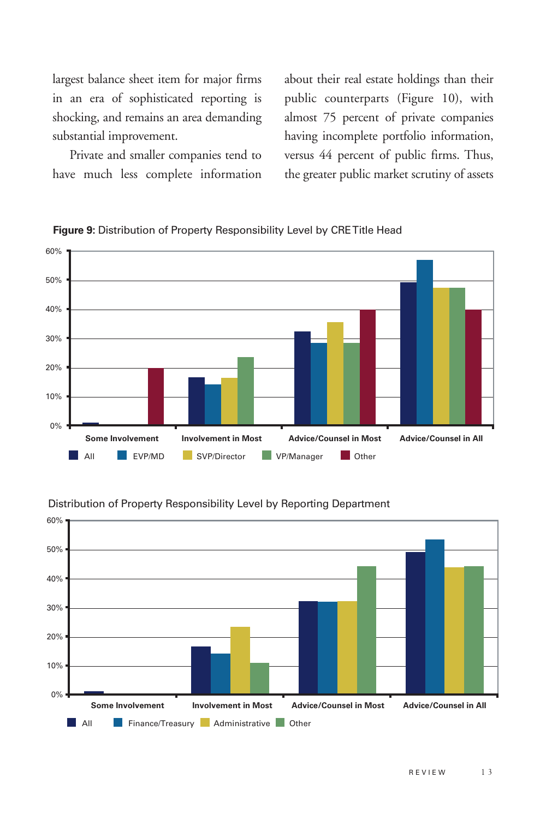largest balance sheet item for major firms in an era of sophisticated reporting is shocking, and remains an area demanding substantial improvement.

Private and smaller companies tend to have much less complete information

about their real estate holdings than their public counterparts (Figure 10), with almost 75 percent of private companies having incomplete portfolio information, versus 44 percent of public firms. Thus, the greater public market scrutiny of assets



**Figure 9:** Distribution of Property Responsibility Level by CRE Title Head



#### Distribution of Property Responsibility Level by Reporting Department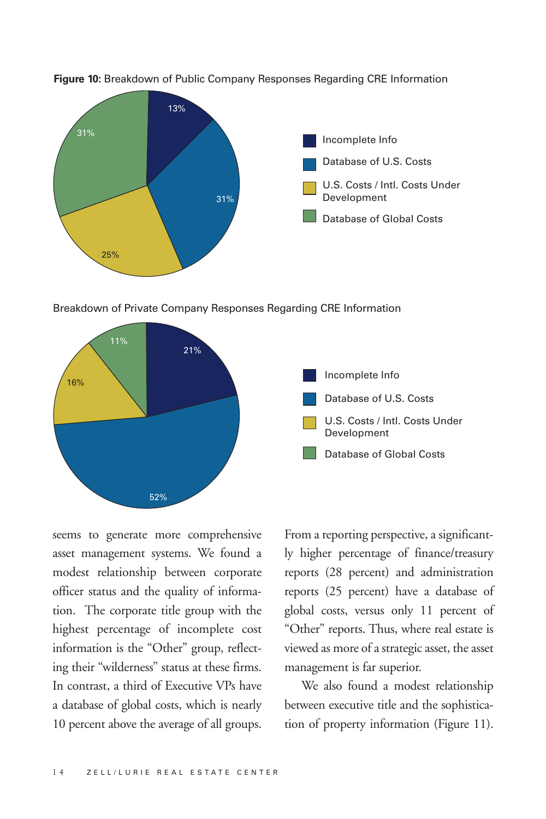

**Figure 10:** Breakdown of Public Company Responses Regarding CRE Information

Breakdown of Private Company Responses Regarding CRE Information



seems to generate more comprehensive asset management systems. We found a modest relationship between corporate officer status and the quality of information. The corporate title group with the highest percentage of incomplete cost information is the "Other" group, reflecting their "wilderness" status at these firms. In contrast, a third of Executive VPs have a database of global costs, which is nearly 10 percent above the average of all groups.

From a reporting perspective, a significantly higher percentage of finance/treasury reports (28 percent) and administration reports (25 percent) have a database of global costs, versus only 11 percent of "Other" reports. Thus, where real estate is viewed as more of a strategic asset, the asset management is far superior.

We also found a modest relationship between executive title and the sophistication of property information (Figure 11).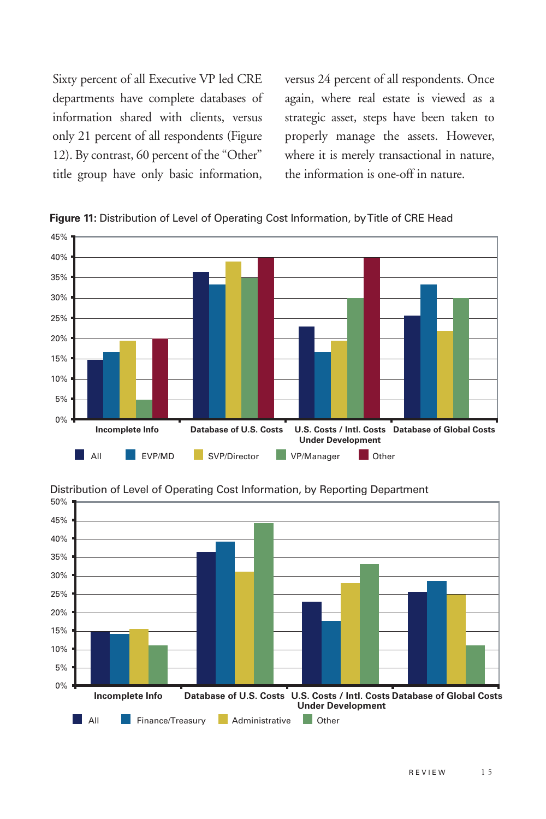Sixty percent of all Executive VP led CRE departments have complete databases of information shared with clients, versus only 21 percent of all respondents (Figure 12). By contrast, 60 percent of the "Other" title group have only basic information,

versus 24 percent of all respondents. Once again, where real estate is viewed as a strategic asset, steps have been taken to properly manage the assets. However, where it is merely transactional in nature, the information is one-off in nature.







Distribution of Level of Operating Cost Information, by Reporting Department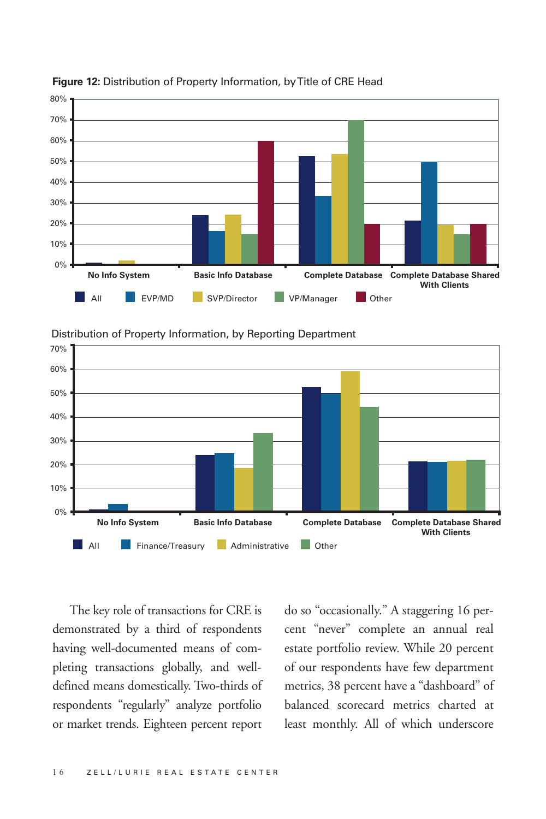

**Figure 12:** Distribution of Property Information, by Title of CRE Head



Distribution of Property Information, by Reporting Department

The key role of transactions for CRE is demonstrated by a third of respondents having well-documented means of completing transactions globally, and welldefined means domestically. Two-thirds of respondents "regularly" analyze portfolio or market trends. Eighteen percent report

do so "occasionally." A staggering 16 percent "never" complete an annual real estate portfolio review. While 20 percent of our respondents have few department metrics, 38 percent have a "dashboard" of balanced scorecard metrics charted at least monthly. All of which underscore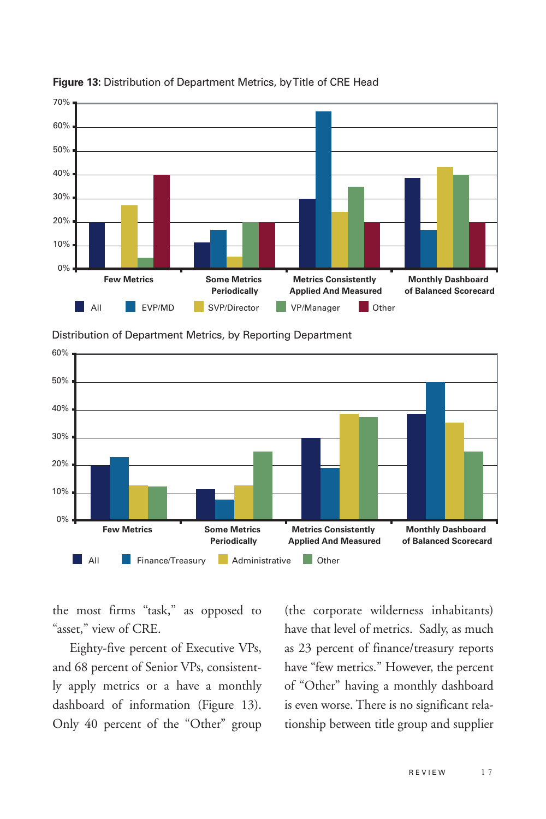





Distribution of Department Metrics, by Reporting Department

the most firms "task," as opposed to "asset," view of CRE.

Eighty-five percent of Executive VPs, and 68 percent of Senior VPs, consistently apply metrics or a have a monthly dashboard of information (Figure 13). Only 40 percent of the "Other" group

(the corporate wilderness inhabitants) have that level of metrics. Sadly, as much as 23 percent of finance/treasury reports have "few metrics." However, the percent of "Other" having a monthly dashboard is even worse. There is no significant relationship between title group and supplier